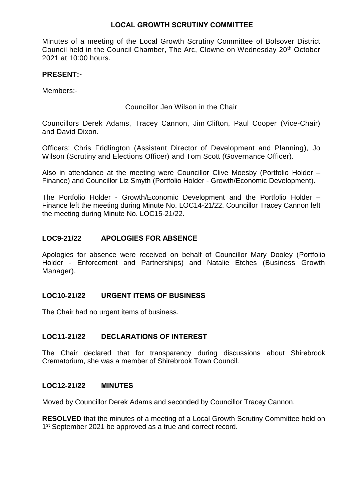Minutes of a meeting of the Local Growth Scrutiny Committee of Bolsover District Council held in the Council Chamber, The Arc, Clowne on Wednesday 20th October 2021 at 10:00 hours.

## **PRESENT:-**

Members:-

Councillor Jen Wilson in the Chair

Councillors Derek Adams, Tracey Cannon, Jim Clifton, Paul Cooper (Vice-Chair) and David Dixon.

Officers: Chris Fridlington (Assistant Director of Development and Planning), Jo Wilson (Scrutiny and Elections Officer) and Tom Scott (Governance Officer).

Also in attendance at the meeting were Councillor Clive Moesby (Portfolio Holder – Finance) and Councillor Liz Smyth (Portfolio Holder - Growth/Economic Development).

The Portfolio Holder - Growth/Economic Development and the Portfolio Holder – Finance left the meeting during Minute No. LOC14-21/22. Councillor Tracey Cannon left the meeting during Minute No. LOC15-21/22.

## **LOC9-21/22 APOLOGIES FOR ABSENCE**

Apologies for absence were received on behalf of Councillor Mary Dooley (Portfolio Holder - Enforcement and Partnerships) and Natalie Etches (Business Growth Manager).

## **LOC10-21/22 URGENT ITEMS OF BUSINESS**

The Chair had no urgent items of business.

## **LOC11-21/22 DECLARATIONS OF INTEREST**

The Chair declared that for transparency during discussions about Shirebrook Crematorium, she was a member of Shirebrook Town Council.

## **LOC12-21/22 MINUTES**

Moved by Councillor Derek Adams and seconded by Councillor Tracey Cannon.

**RESOLVED** that the minutes of a meeting of a Local Growth Scrutiny Committee held on 1<sup>st</sup> September 2021 be approved as a true and correct record.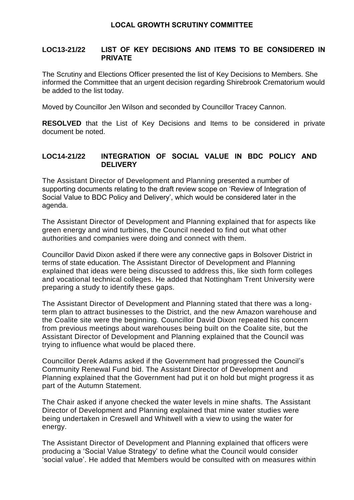## **LOC13-21/22 LIST OF KEY DECISIONS AND ITEMS TO BE CONSIDERED IN PRIVATE**

The Scrutiny and Elections Officer presented the list of Key Decisions to Members. She informed the Committee that an urgent decision regarding Shirebrook Crematorium would be added to the list today.

Moved by Councillor Jen Wilson and seconded by Councillor Tracey Cannon.

**RESOLVED** that the List of Key Decisions and Items to be considered in private document be noted.

## **LOC14-21/22 INTEGRATION OF SOCIAL VALUE IN BDC POLICY AND DELIVERY**

The Assistant Director of Development and Planning presented a number of supporting documents relating to the draft review scope on 'Review of Integration of Social Value to BDC Policy and Delivery', which would be considered later in the agenda.

The Assistant Director of Development and Planning explained that for aspects like green energy and wind turbines, the Council needed to find out what other authorities and companies were doing and connect with them.

Councillor David Dixon asked if there were any connective gaps in Bolsover District in terms of state education. The Assistant Director of Development and Planning explained that ideas were being discussed to address this, like sixth form colleges and vocational technical colleges. He added that Nottingham Trent University were preparing a study to identify these gaps.

The Assistant Director of Development and Planning stated that there was a longterm plan to attract businesses to the District, and the new Amazon warehouse and the Coalite site were the beginning. Councillor David Dixon repeated his concern from previous meetings about warehouses being built on the Coalite site, but the Assistant Director of Development and Planning explained that the Council was trying to influence what would be placed there.

Councillor Derek Adams asked if the Government had progressed the Council's Community Renewal Fund bid. The Assistant Director of Development and Planning explained that the Government had put it on hold but might progress it as part of the Autumn Statement.

The Chair asked if anyone checked the water levels in mine shafts. The Assistant Director of Development and Planning explained that mine water studies were being undertaken in Creswell and Whitwell with a view to using the water for energy.

The Assistant Director of Development and Planning explained that officers were producing a 'Social Value Strategy' to define what the Council would consider 'social value'. He added that Members would be consulted with on measures within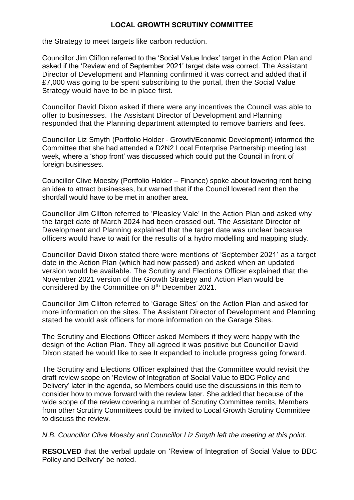the Strategy to meet targets like carbon reduction.

Councillor Jim Clifton referred to the 'Social Value Index' target in the Action Plan and asked if the 'Review end of September 2021' target date was correct. The Assistant Director of Development and Planning confirmed it was correct and added that if £7,000 was going to be spent subscribing to the portal, then the Social Value Strategy would have to be in place first.

Councillor David Dixon asked if there were any incentives the Council was able to offer to businesses. The Assistant Director of Development and Planning responded that the Planning department attempted to remove barriers and fees.

Councillor Liz Smyth (Portfolio Holder - Growth/Economic Development) informed the Committee that she had attended a D2N2 Local Enterprise Partnership meeting last week, where a 'shop front' was discussed which could put the Council in front of foreign businesses.

Councillor Clive Moesby (Portfolio Holder – Finance) spoke about lowering rent being an idea to attract businesses, but warned that if the Council lowered rent then the shortfall would have to be met in another area.

Councillor Jim Clifton referred to 'Pleasley Vale' in the Action Plan and asked why the target date of March 2024 had been crossed out. The Assistant Director of Development and Planning explained that the target date was unclear because officers would have to wait for the results of a hydro modelling and mapping study.

Councillor David Dixon stated there were mentions of 'September 2021' as a target date in the Action Plan (which had now passed) and asked when an updated version would be available. The Scrutiny and Elections Officer explained that the November 2021 version of the Growth Strategy and Action Plan would be considered by the Committee on 8<sup>th</sup> December 2021.

Councillor Jim Clifton referred to 'Garage Sites' on the Action Plan and asked for more information on the sites. The Assistant Director of Development and Planning stated he would ask officers for more information on the Garage Sites.

The Scrutiny and Elections Officer asked Members if they were happy with the design of the Action Plan. They all agreed it was positive but Councillor David Dixon stated he would like to see It expanded to include progress going forward.

The Scrutiny and Elections Officer explained that the Committee would revisit the draft review scope on 'Review of Integration of Social Value to BDC Policy and Delivery' later in the agenda, so Members could use the discussions in this item to consider how to move forward with the review later. She added that because of the wide scope of the review covering a number of Scrutiny Committee remits, Members from other Scrutiny Committees could be invited to Local Growth Scrutiny Committee to discuss the review.

*N.B. Councillor Clive Moesby and Councillor Liz Smyth left the meeting at this point.*

**RESOLVED** that the verbal update on 'Review of Integration of Social Value to BDC Policy and Delivery' be noted.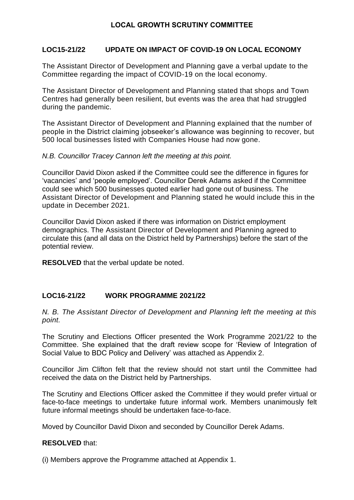## **LOC15-21/22 UPDATE ON IMPACT OF COVID-19 ON LOCAL ECONOMY**

The Assistant Director of Development and Planning gave a verbal update to the Committee regarding the impact of COVID-19 on the local economy.

The Assistant Director of Development and Planning stated that shops and Town Centres had generally been resilient, but events was the area that had struggled during the pandemic.

The Assistant Director of Development and Planning explained that the number of people in the District claiming jobseeker's allowance was beginning to recover, but 500 local businesses listed with Companies House had now gone.

## *N.B. Councillor Tracey Cannon left the meeting at this point.*

Councillor David Dixon asked if the Committee could see the difference in figures for 'vacancies' and 'people employed'. Councillor Derek Adams asked if the Committee could see which 500 businesses quoted earlier had gone out of business. The Assistant Director of Development and Planning stated he would include this in the update in December 2021.

Councillor David Dixon asked if there was information on District employment demographics. The Assistant Director of Development and Planning agreed to circulate this (and all data on the District held by Partnerships) before the start of the potential review.

**RESOLVED** that the verbal update be noted.

## **LOC16-21/22 WORK PROGRAMME 2021/22**

*N. B. The Assistant Director of Development and Planning left the meeting at this point.*

The Scrutiny and Elections Officer presented the Work Programme 2021/22 to the Committee. She explained that the draft review scope for 'Review of Integration of Social Value to BDC Policy and Delivery' was attached as Appendix 2.

Councillor Jim Clifton felt that the review should not start until the Committee had received the data on the District held by Partnerships.

The Scrutiny and Elections Officer asked the Committee if they would prefer virtual or face-to-face meetings to undertake future informal work. Members unanimously felt future informal meetings should be undertaken face-to-face.

Moved by Councillor David Dixon and seconded by Councillor Derek Adams.

## **RESOLVED** that:

(i) Members approve the Programme attached at Appendix 1.